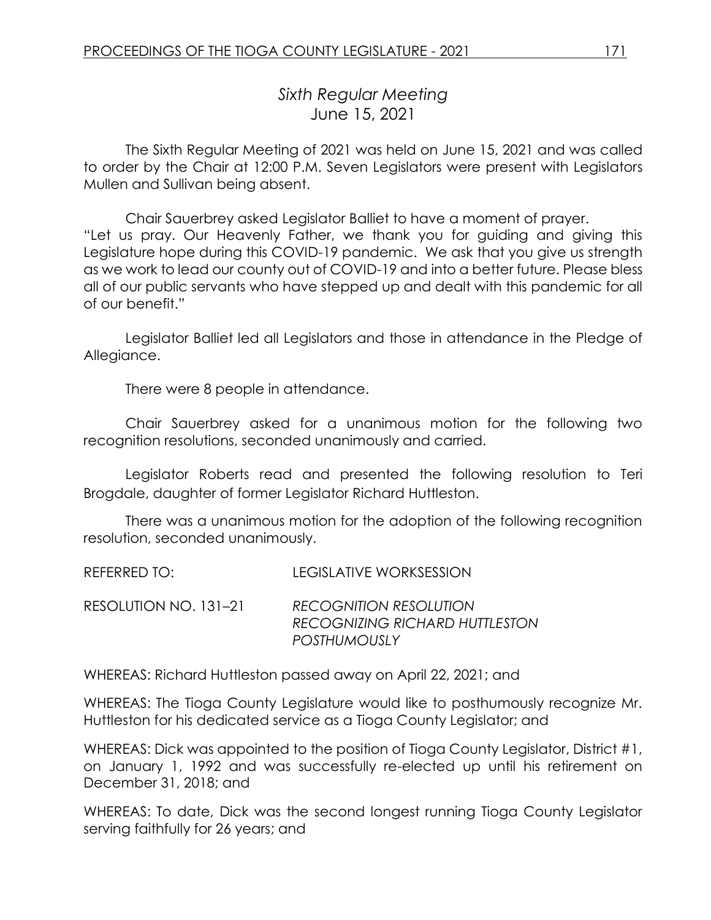# *Sixth Regular Meeting* June 15, 2021

The Sixth Regular Meeting of 2021 was held on June 15, 2021 and was called to order by the Chair at 12:00 P.M. Seven Legislators were present with Legislators Mullen and Sullivan being absent.

Chair Sauerbrey asked Legislator Balliet to have a moment of prayer. "Let us pray. Our Heavenly Father, we thank you for guiding and giving this Legislature hope during this COVID-19 pandemic. We ask that you give us strength as we work to lead our county out of COVID-19 and into a better future. Please bless all of our public servants who have stepped up and dealt with this pandemic for all of our benefit."

Legislator Balliet led all Legislators and those in attendance in the Pledge of Allegiance.

There were 8 people in attendance.

Chair Sauerbrey asked for a unanimous motion for the following two recognition resolutions, seconded unanimously and carried.

Legislator Roberts read and presented the following resolution to Teri Brogdale, daughter of former Legislator Richard Huttleston.

There was a unanimous motion for the adoption of the following recognition resolution, seconded unanimously.

REFERRED TO: LEGISLATIVE WORKSESSION

RESOLUTION NO. 131–21 *RECOGNITION RESOLUTION RECOGNIZING RICHARD HUTTLESTON POSTHUMOUSLY* 

WHEREAS: Richard Huttleston passed away on April 22, 2021; and

WHEREAS: The Tioga County Legislature would like to posthumously recognize Mr. Huttleston for his dedicated service as a Tioga County Legislator; and

WHEREAS: Dick was appointed to the position of Tioga County Legislator, District #1, on January 1, 1992 and was successfully re-elected up until his retirement on December 31, 2018; and

WHEREAS: To date, Dick was the second longest running Tioga County Legislator serving faithfully for 26 years; and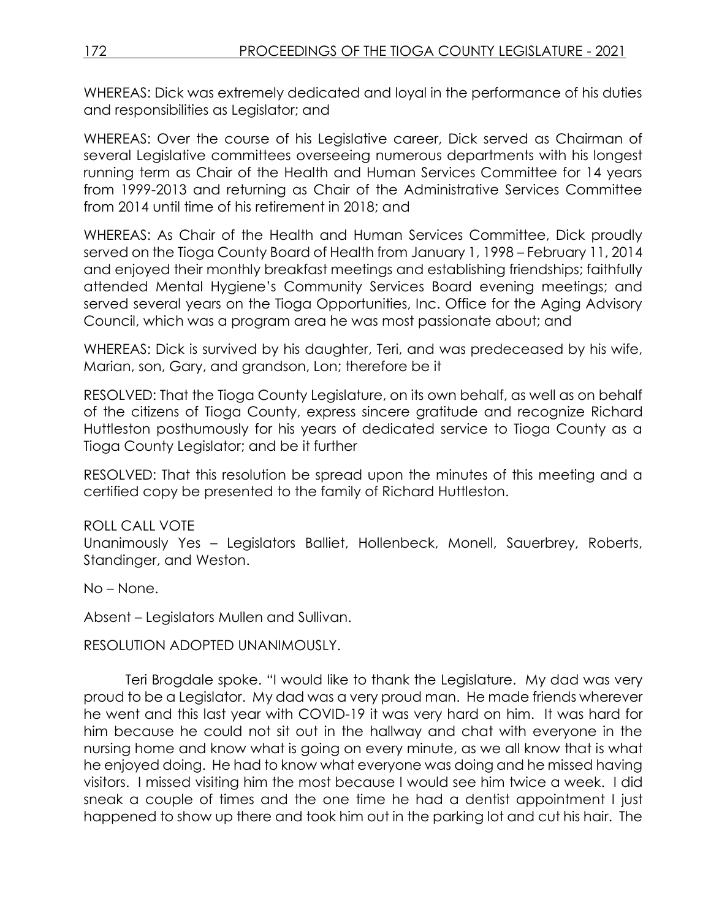WHEREAS: Dick was extremely dedicated and loyal in the performance of his duties and responsibilities as Legislator; and

WHEREAS: Over the course of his Legislative career, Dick served as Chairman of several Legislative committees overseeing numerous departments with his longest running term as Chair of the Health and Human Services Committee for 14 years from 1999-2013 and returning as Chair of the Administrative Services Committee from 2014 until time of his retirement in 2018; and

WHEREAS: As Chair of the Health and Human Services Committee, Dick proudly served on the Tioga County Board of Health from January 1, 1998 – February 11, 2014 and enjoyed their monthly breakfast meetings and establishing friendships; faithfully attended Mental Hygiene's Community Services Board evening meetings; and served several years on the Tioga Opportunities, Inc. Office for the Aging Advisory Council, which was a program area he was most passionate about; and

WHEREAS: Dick is survived by his daughter, Teri, and was predeceased by his wife, Marian, son, Gary, and grandson, Lon; therefore be it

RESOLVED: That the Tioga County Legislature, on its own behalf, as well as on behalf of the citizens of Tioga County, express sincere gratitude and recognize Richard Huttleston posthumously for his years of dedicated service to Tioga County as a Tioga County Legislator; and be it further

RESOLVED: That this resolution be spread upon the minutes of this meeting and a certified copy be presented to the family of Richard Huttleston.

#### ROLL CALL VOTE

Unanimously Yes – Legislators Balliet, Hollenbeck, Monell, Sauerbrey, Roberts, Standinger, and Weston.

No – None.

Absent – Legislators Mullen and Sullivan.

RESOLUTION ADOPTED UNANIMOUSLY.

Teri Brogdale spoke. "I would like to thank the Legislature. My dad was very proud to be a Legislator. My dad was a very proud man. He made friends wherever he went and this last year with COVID-19 it was very hard on him. It was hard for him because he could not sit out in the hallway and chat with everyone in the nursing home and know what is going on every minute, as we all know that is what he enjoyed doing. He had to know what everyone was doing and he missed having visitors. I missed visiting him the most because I would see him twice a week. I did sneak a couple of times and the one time he had a dentist appointment I just happened to show up there and took him out in the parking lot and cut his hair. The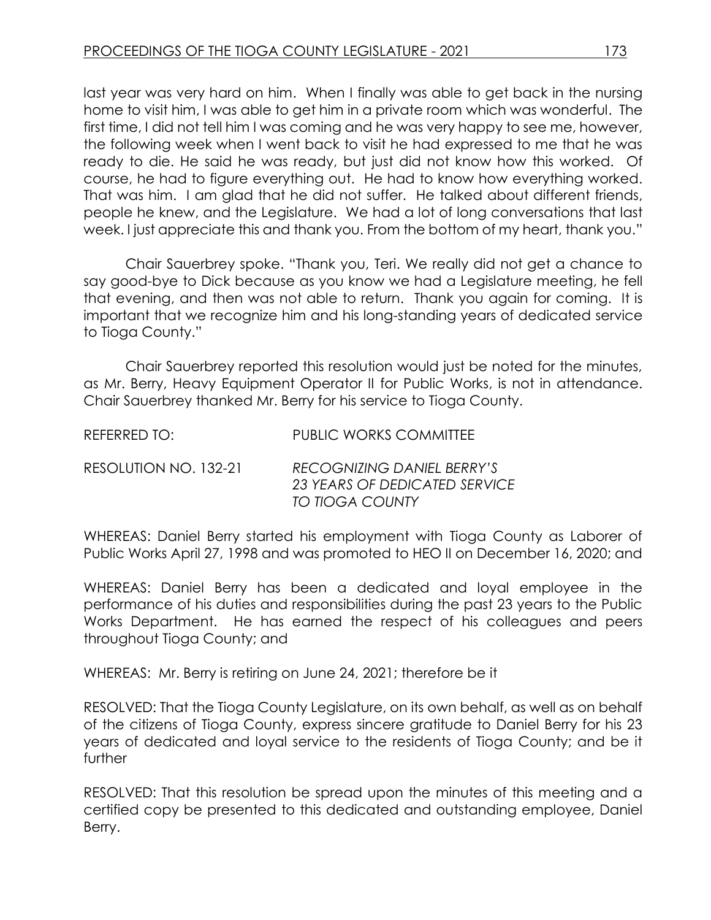last year was very hard on him. When I finally was able to get back in the nursing home to visit him, I was able to get him in a private room which was wonderful. The first time, I did not tell him I was coming and he was very happy to see me, however, the following week when I went back to visit he had expressed to me that he was ready to die. He said he was ready, but just did not know how this worked. Of course, he had to figure everything out. He had to know how everything worked. That was him. I am glad that he did not suffer. He talked about different friends, people he knew, and the Legislature. We had a lot of long conversations that last week. I just appreciate this and thank you. From the bottom of my heart, thank you."

Chair Sauerbrey spoke. "Thank you, Teri. We really did not get a chance to say good-bye to Dick because as you know we had a Legislature meeting, he fell that evening, and then was not able to return. Thank you again for coming. It is important that we recognize him and his long-standing years of dedicated service to Tioga County."

Chair Sauerbrey reported this resolution would just be noted for the minutes, as Mr. Berry, Heavy Equipment Operator II for Public Works, is not in attendance. Chair Sauerbrey thanked Mr. Berry for his service to Tioga County.

| REFERRED TO:          | PUBLIC WORKS COMMITTEE                                                                |
|-----------------------|---------------------------------------------------------------------------------------|
| RESOLUTION NO. 132-21 | <b>RECOGNIZING DANIEL BERRY'S</b><br>23 YEARS OF DEDICATED SERVICE<br>TO TIOGA COUNTY |

WHEREAS: Daniel Berry started his employment with Tioga County as Laborer of Public Works April 27, 1998 and was promoted to HEO II on December 16, 2020; and

WHEREAS: Daniel Berry has been a dedicated and loyal employee in the performance of his duties and responsibilities during the past 23 years to the Public Works Department. He has earned the respect of his colleagues and peers throughout Tioga County; and

WHEREAS: Mr. Berry is retiring on June 24, 2021; therefore be it

RESOLVED: That the Tioga County Legislature, on its own behalf, as well as on behalf of the citizens of Tioga County, express sincere gratitude to Daniel Berry for his 23 years of dedicated and loyal service to the residents of Tioga County; and be it further

RESOLVED: That this resolution be spread upon the minutes of this meeting and a certified copy be presented to this dedicated and outstanding employee, Daniel Berry.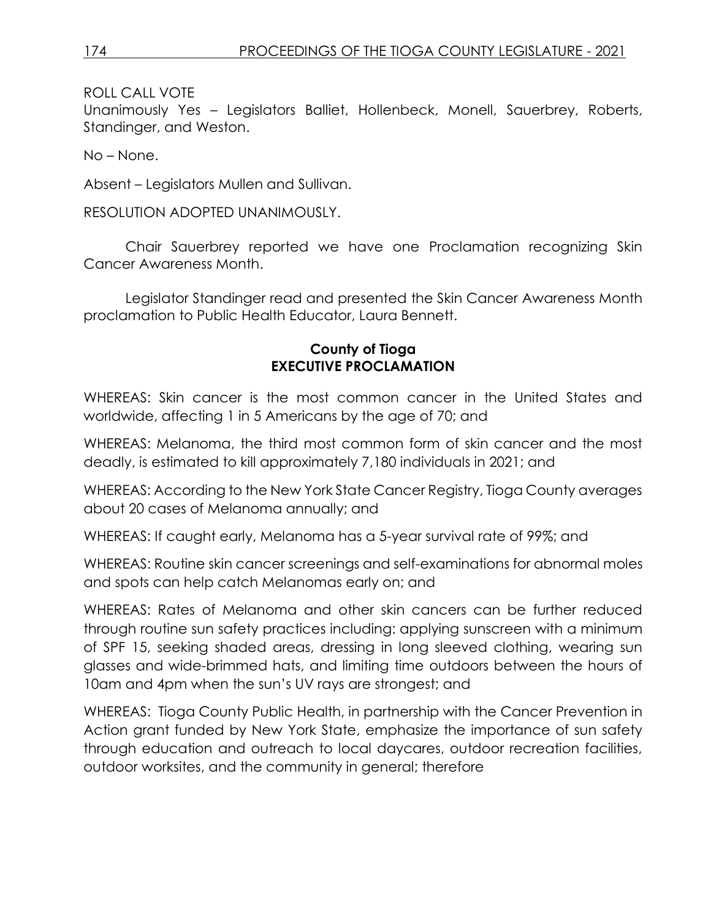ROLL CALL VOTE

Unanimously Yes – Legislators Balliet, Hollenbeck, Monell, Sauerbrey, Roberts, Standinger, and Weston.

No – None.

Absent – Legislators Mullen and Sullivan.

RESOLUTION ADOPTED UNANIMOUSLY.

Chair Sauerbrey reported we have one Proclamation recognizing Skin Cancer Awareness Month.

Legislator Standinger read and presented the Skin Cancer Awareness Month proclamation to Public Health Educator, Laura Bennett.

### **County of Tioga EXECUTIVE PROCLAMATION**

WHEREAS: Skin cancer is the most common cancer in the United States and worldwide, affecting 1 in 5 Americans by the age of 70; and

WHEREAS: Melanoma, the third most common form of skin cancer and the most deadly, is estimated to kill approximately 7,180 individuals in 2021; and

WHEREAS: According to the New York State Cancer Registry, Tioga County averages about 20 cases of Melanoma annually; and

WHEREAS: If caught early, Melanoma has a 5-year survival rate of 99%; and

WHEREAS: Routine skin cancer screenings and self-examinations for abnormal moles and spots can help catch Melanomas early on; and

WHEREAS: Rates of Melanoma and other skin cancers can be further reduced through routine sun safety practices including: applying sunscreen with a minimum of SPF 15, seeking shaded areas, dressing in long sleeved clothing, wearing sun glasses and wide-brimmed hats, and limiting time outdoors between the hours of 10am and 4pm when the sun's UV rays are strongest; and

WHEREAS: Tioga County Public Health, in partnership with the Cancer Prevention in Action grant funded by New York State, emphasize the importance of sun safety through education and outreach to local daycares, outdoor recreation facilities, outdoor worksites, and the community in general; therefore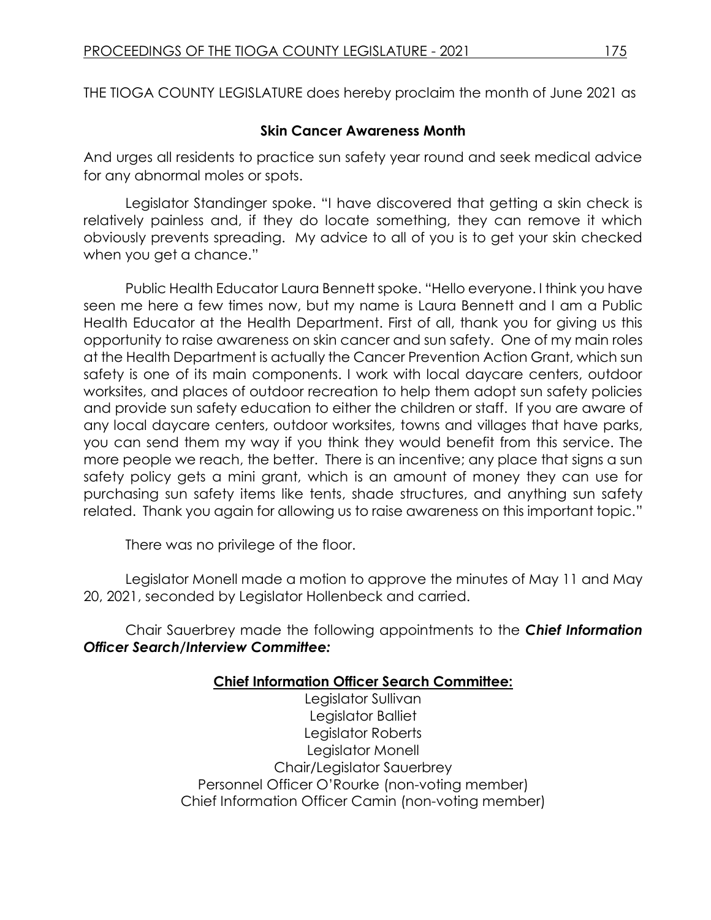THE TIOGA COUNTY LEGISLATURE does hereby proclaim the month of June 2021 as

### **Skin Cancer Awareness Month**

And urges all residents to practice sun safety year round and seek medical advice for any abnormal moles or spots.

Legislator Standinger spoke. "I have discovered that getting a skin check is relatively painless and, if they do locate something, they can remove it which obviously prevents spreading. My advice to all of you is to get your skin checked when you get a chance."

Public Health Educator Laura Bennett spoke. "Hello everyone. I think you have seen me here a few times now, but my name is Laura Bennett and I am a Public Health Educator at the Health Department. First of all, thank you for giving us this opportunity to raise awareness on skin cancer and sun safety. One of my main roles at the Health Department is actually the Cancer Prevention Action Grant, which sun safety is one of its main components. I work with local daycare centers, outdoor worksites, and places of outdoor recreation to help them adopt sun safety policies and provide sun safety education to either the children or staff. If you are aware of any local daycare centers, outdoor worksites, towns and villages that have parks, you can send them my way if you think they would benefit from this service. The more people we reach, the better. There is an incentive; any place that signs a sun safety policy gets a mini grant, which is an amount of money they can use for purchasing sun safety items like tents, shade structures, and anything sun safety related. Thank you again for allowing us to raise awareness on this important topic."

There was no privilege of the floor.

Legislator Monell made a motion to approve the minutes of May 11 and May 20, 2021, seconded by Legislator Hollenbeck and carried.

Chair Sauerbrey made the following appointments to the *Chief Information Officer Search/Interview Committee:*

# **Chief Information Officer Search Committee:**

Legislator Sullivan Legislator Balliet Legislator Roberts Legislator Monell Chair/Legislator Sauerbrey Personnel Officer O'Rourke (non-voting member) Chief Information Officer Camin (non-voting member)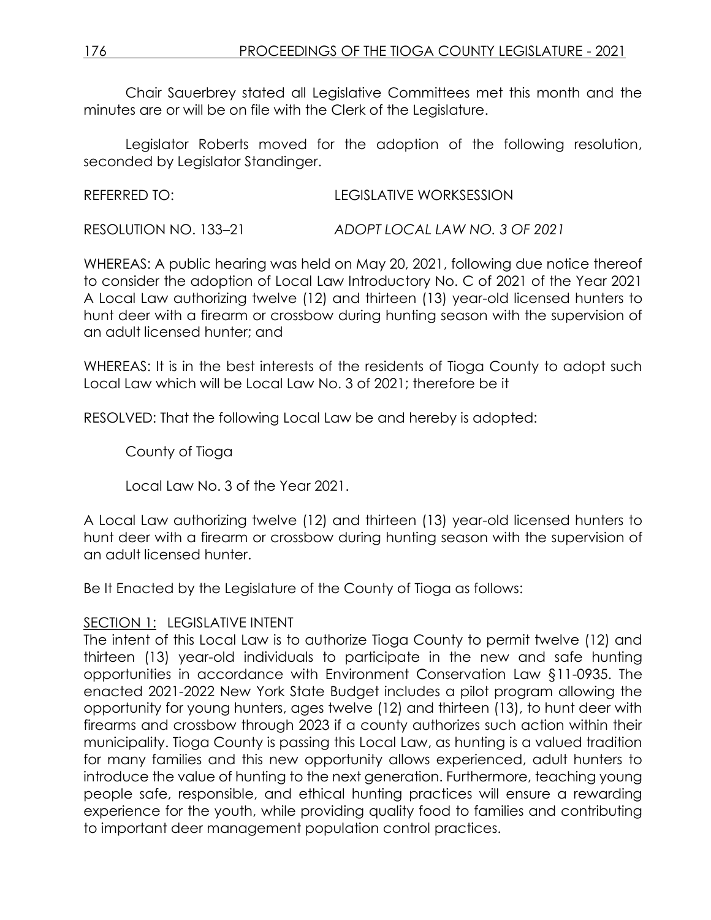Chair Sauerbrey stated all Legislative Committees met this month and the minutes are or will be on file with the Clerk of the Legislature.

Legislator Roberts moved for the adoption of the following resolution, seconded by Legislator Standinger.

| REFERRED TO: | <b>LEGISLATIVE WORKSESSION</b> |
|--------------|--------------------------------|
|              |                                |

RESOLUTION NO. 133–21 *ADOPT LOCAL LAW NO. 3 OF 2021*

WHEREAS: A public hearing was held on May 20, 2021, following due notice thereof to consider the adoption of Local Law Introductory No. C of 2021 of the Year 2021 A Local Law authorizing twelve (12) and thirteen (13) year-old licensed hunters to hunt deer with a firearm or crossbow during hunting season with the supervision of an adult licensed hunter; and

WHEREAS: It is in the best interests of the residents of Tioga County to adopt such Local Law which will be Local Law No. 3 of 2021; therefore be it

RESOLVED: That the following Local Law be and hereby is adopted:

County of Tioga

Local Law No. 3 of the Year 2021.

A Local Law authorizing twelve (12) and thirteen (13) year-old licensed hunters to hunt deer with a firearm or crossbow during hunting season with the supervision of an adult licensed hunter.

Be It Enacted by the Legislature of the County of Tioga as follows:

# SECTION 1: LEGISLATIVE INTENT

The intent of this Local Law is to authorize Tioga County to permit twelve (12) and thirteen (13) year-old individuals to participate in the new and safe hunting opportunities in accordance with Environment Conservation Law §11-0935. The enacted 2021-2022 New York State Budget includes a pilot program allowing the opportunity for young hunters, ages twelve (12) and thirteen (13), to hunt deer with firearms and crossbow through 2023 if a county authorizes such action within their municipality. Tioga County is passing this Local Law, as hunting is a valued tradition for many families and this new opportunity allows experienced, adult hunters to introduce the value of hunting to the next generation. Furthermore, teaching young people safe, responsible, and ethical hunting practices will ensure a rewarding experience for the youth, while providing quality food to families and contributing to important deer management population control practices.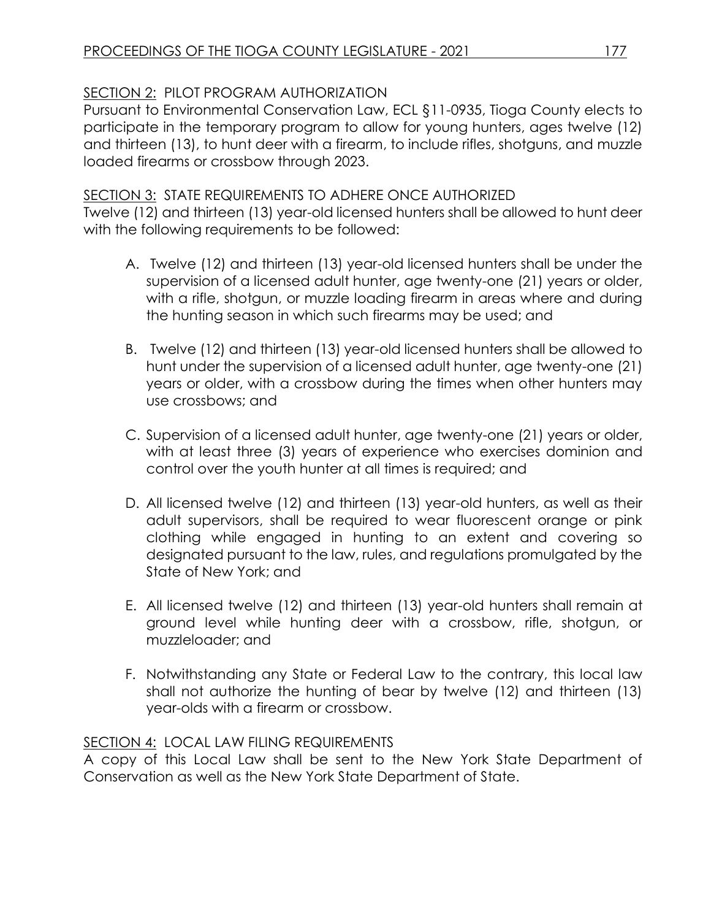# SECTION 2: PILOT PROGRAM AUTHORIZATION

Pursuant to Environmental Conservation Law, ECL §11-0935, Tioga County elects to participate in the temporary program to allow for young hunters, ages twelve (12) and thirteen (13), to hunt deer with a firearm, to include rifles, shotguns, and muzzle loaded firearms or crossbow through 2023.

# SECTION 3: STATE REQUIREMENTS TO ADHERE ONCE AUTHORIZED

Twelve (12) and thirteen (13) year-old licensed hunters shall be allowed to hunt deer with the following requirements to be followed:

- A. Twelve (12) and thirteen (13) year-old licensed hunters shall be under the supervision of a licensed adult hunter, age twenty-one (21) years or older, with a rifle, shotgun, or muzzle loading firearm in areas where and during the hunting season in which such firearms may be used; and
- B. Twelve (12) and thirteen (13) year-old licensed hunters shall be allowed to hunt under the supervision of a licensed adult hunter, age twenty-one (21) years or older, with a crossbow during the times when other hunters may use crossbows; and
- C. Supervision of a licensed adult hunter, age twenty-one (21) years or older, with at least three (3) years of experience who exercises dominion and control over the youth hunter at all times is required; and
- D. All licensed twelve (12) and thirteen (13) year-old hunters, as well as their adult supervisors, shall be required to wear fluorescent orange or pink clothing while engaged in hunting to an extent and covering so designated pursuant to the law, rules, and regulations promulgated by the State of New York; and
- E. All licensed twelve (12) and thirteen (13) year-old hunters shall remain at ground level while hunting deer with a crossbow, rifle, shotgun, or muzzleloader; and
- F. Notwithstanding any State or Federal Law to the contrary, this local law shall not authorize the hunting of bear by twelve (12) and thirteen (13) year-olds with a firearm or crossbow.

# SECTION 4: LOCAL LAW FILING REQUIREMENTS

A copy of this Local Law shall be sent to the New York State Department of Conservation as well as the New York State Department of State.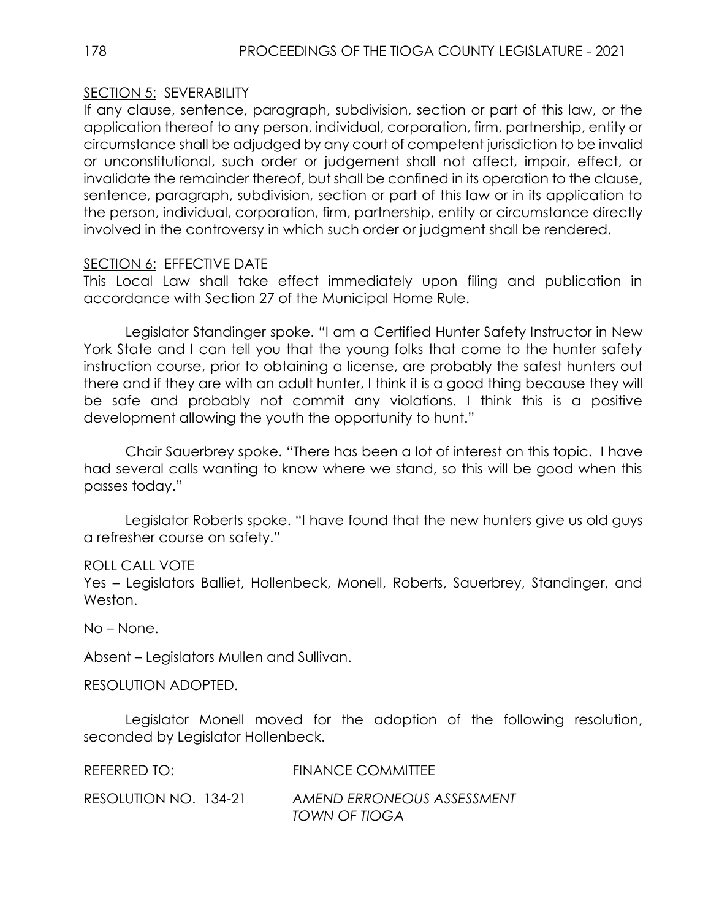#### SECTION 5: SEVERABILITY

If any clause, sentence, paragraph, subdivision, section or part of this law, or the application thereof to any person, individual, corporation, firm, partnership, entity or circumstance shall be adjudged by any court of competent jurisdiction to be invalid or unconstitutional, such order or judgement shall not affect, impair, effect, or invalidate the remainder thereof, but shall be confined in its operation to the clause, sentence, paragraph, subdivision, section or part of this law or in its application to the person, individual, corporation, firm, partnership, entity or circumstance directly involved in the controversy in which such order or judgment shall be rendered.

#### SECTION 6: EFFECTIVE DATE

This Local Law shall take effect immediately upon filing and publication in accordance with Section 27 of the Municipal Home Rule.

Legislator Standinger spoke. "I am a Certified Hunter Safety Instructor in New York State and I can tell you that the young folks that come to the hunter safety instruction course, prior to obtaining a license, are probably the safest hunters out there and if they are with an adult hunter, I think it is a good thing because they will be safe and probably not commit any violations. I think this is a positive development allowing the youth the opportunity to hunt."

Chair Sauerbrey spoke. "There has been a lot of interest on this topic. I have had several calls wanting to know where we stand, so this will be good when this passes today."

Legislator Roberts spoke. "I have found that the new hunters give us old guys a refresher course on safety."

#### ROLL CALL VOTE

Yes – Legislators Balliet, Hollenbeck, Monell, Roberts, Sauerbrey, Standinger, and Weston.

No – None.

Absent – Legislators Mullen and Sullivan.

RESOLUTION ADOPTED.

Legislator Monell moved for the adoption of the following resolution, seconded by Legislator Hollenbeck.

| REFERRED TO:          | <b>FINANCE COMMITTEE</b>                    |
|-----------------------|---------------------------------------------|
| RESOLUTION NO. 134-21 | AMEND ERRONEOUS ASSESSMENT<br>TOWN OF TIOGA |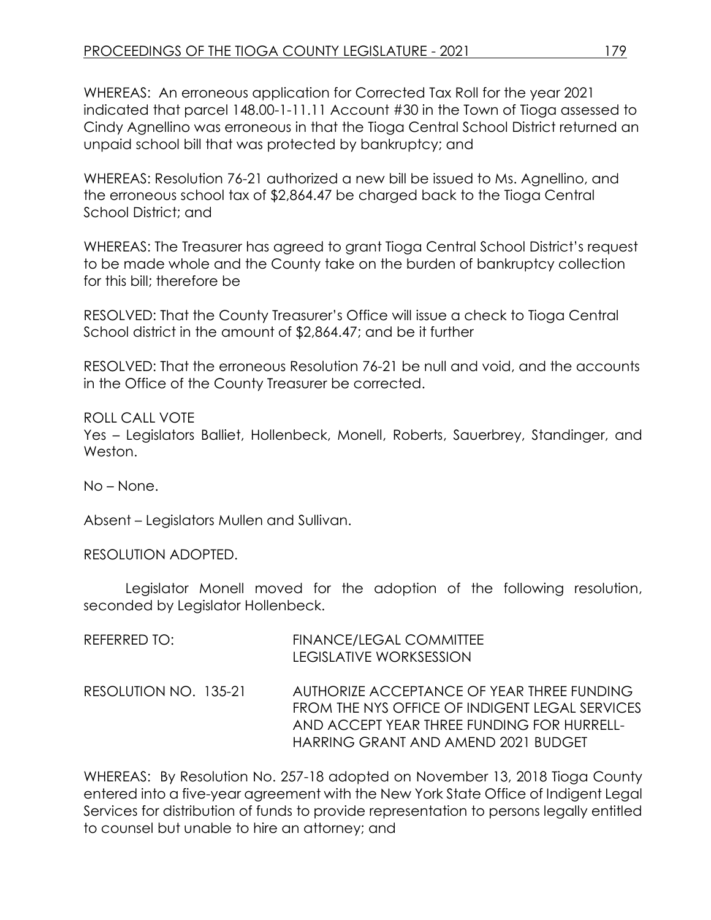WHEREAS: An erroneous application for Corrected Tax Roll for the year 2021 indicated that parcel 148.00-1-11.11 Account #30 in the Town of Tioga assessed to Cindy Agnellino was erroneous in that the Tioga Central School District returned an unpaid school bill that was protected by bankruptcy; and

WHEREAS: Resolution 76-21 authorized a new bill be issued to Ms. Agnellino, and the erroneous school tax of \$2,864.47 be charged back to the Tioga Central School District; and

WHEREAS: The Treasurer has agreed to grant Tioga Central School District's request to be made whole and the County take on the burden of bankruptcy collection for this bill; therefore be

RESOLVED: That the County Treasurer's Office will issue a check to Tioga Central School district in the amount of \$2,864.47; and be it further

RESOLVED: That the erroneous Resolution 76-21 be null and void, and the accounts in the Office of the County Treasurer be corrected.

ROLL CALL VOTE Yes – Legislators Balliet, Hollenbeck, Monell, Roberts, Sauerbrey, Standinger, and Weston.

No – None.

Absent – Legislators Mullen and Sullivan.

RESOLUTION ADOPTED.

Legislator Monell moved for the adoption of the following resolution, seconded by Legislator Hollenbeck.

| REFERRED TO:          | FINANCE/LEGAL COMMITTEE<br>LEGISLATIVE WORKSESSION                                                                                                                                |
|-----------------------|-----------------------------------------------------------------------------------------------------------------------------------------------------------------------------------|
| RESOLUTION NO. 135-21 | AUTHORIZE ACCEPTANCE OF YEAR THREE FUNDING<br>FROM THE NYS OFFICE OF INDIGENT LEGAL SERVICES<br>AND ACCEPT YEAR THREE FUNDING FOR HURRELL-<br>HARRING GRANT AND AMEND 2021 BUDGET |

WHEREAS: By Resolution No. 257-18 adopted on November 13, 2018 Tioga County entered into a five-year agreement with the New York State Office of Indigent Legal Services for distribution of funds to provide representation to persons legally entitled to counsel but unable to hire an attorney; and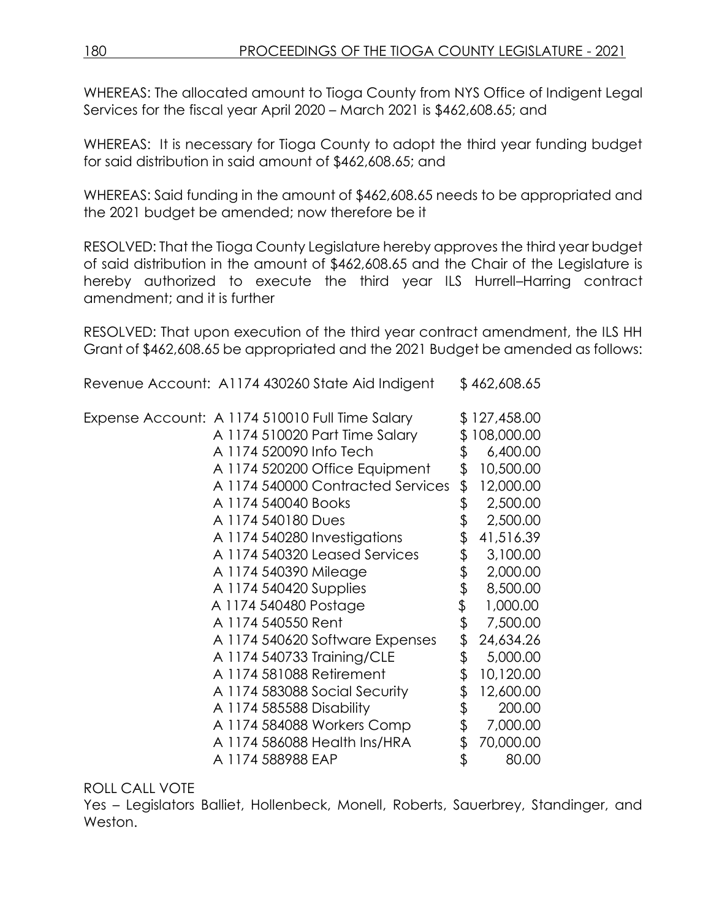WHEREAS: The allocated amount to Tioga County from NYS Office of Indigent Legal Services for the fiscal year April 2020 – March 2021 is \$462,608.65; and

WHEREAS: It is necessary for Tioga County to adopt the third year funding budget for said distribution in said amount of \$462,608.65; and

WHEREAS: Said funding in the amount of \$462,608.65 needs to be appropriated and the 2021 budget be amended; now therefore be it

RESOLVED: That the Tioga County Legislature hereby approves the third year budget of said distribution in the amount of \$462,608.65 and the Chair of the Legislature is hereby authorized to execute the third year ILS Hurrell–Harring contract amendment; and it is further

RESOLVED: That upon execution of the third year contract amendment, the ILS HH Grant of \$462,608.65 be appropriated and the 2021 Budget be amended as follows:

Revenue Account: A1174 430260 State Aid Indigent \$ 462,608.65

| Expense Account: A 1174 510010 Full Time Salary |                     |                                   | \$127,458.00    |
|-------------------------------------------------|---------------------|-----------------------------------|-----------------|
|                                                 |                     | A 1174 510020 Part Time Salary    | \$108,000.00    |
|                                                 |                     | A 1174 520090 Info Tech           | \$<br>6,400.00  |
|                                                 |                     | A 1174 520200 Office Equipment    | \$<br>10,500.00 |
|                                                 |                     | A 1174 540000 Contracted Services | \$<br>12,000.00 |
|                                                 | A 1174 540040 Books |                                   | \$<br>2,500.00  |
|                                                 | A 1174 540180 Dues  |                                   | \$<br>2,500.00  |
|                                                 |                     | A 1174 540280 Investigations      | \$<br>41,516.39 |
|                                                 |                     | A 1174 540320 Leased Services     | \$<br>3,100.00  |
|                                                 |                     | A 1174 540390 Mileage             | \$<br>2,000.00  |
|                                                 |                     | A 1174 540420 Supplies            | \$<br>8,500.00  |
|                                                 |                     | A 1174 540480 Postage             | \$<br>1,000.00  |
|                                                 | A 1174 540550 Rent  |                                   | \$<br>7,500.00  |
|                                                 |                     | A 1174 540620 Software Expenses   | \$<br>24,634.26 |
|                                                 |                     | A 1174 540733 Training/CLE        | \$<br>5,000.00  |
|                                                 |                     | A 1174 581088 Retirement          | \$<br>10,120.00 |
|                                                 |                     | A 1174 583088 Social Security     | \$<br>12,600.00 |
|                                                 |                     | A 1174 585588 Disability          | \$<br>200.00    |
|                                                 |                     | A 1174 584088 Workers Comp        | \$<br>7,000.00  |
|                                                 |                     | A 1174 586088 Health Ins/HRA      | \$<br>70,000.00 |
|                                                 | A 1174 588988 EAP   |                                   | \$<br>80.00     |

### ROLL CALL VOTE

Yes – Legislators Balliet, Hollenbeck, Monell, Roberts, Sauerbrey, Standinger, and Weston.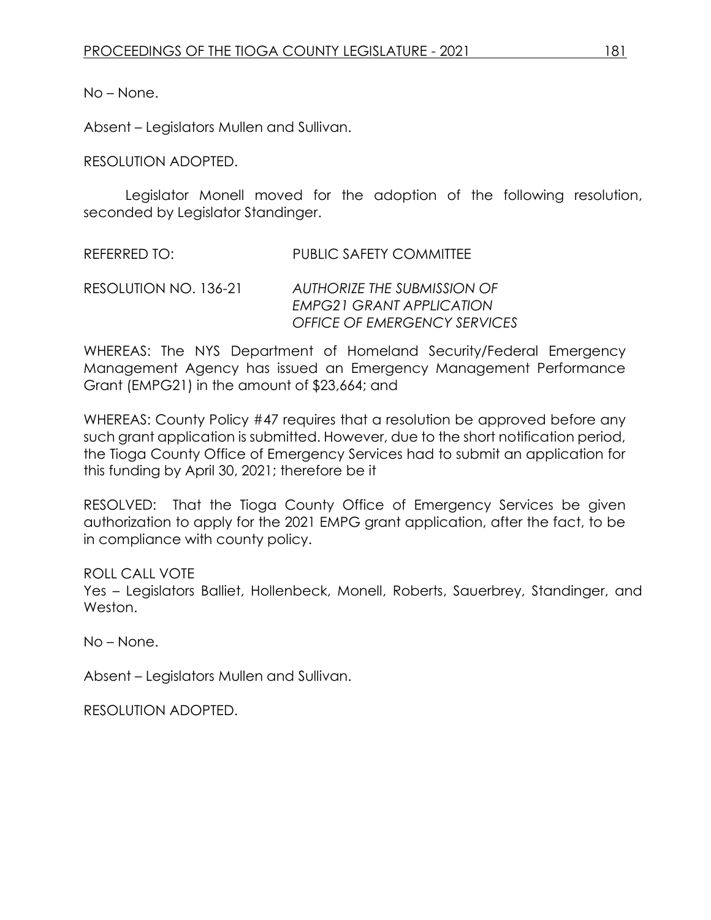No – None.

Absent – Legislators Mullen and Sullivan.

RESOLUTION ADOPTED.

Legislator Monell moved for the adoption of the following resolution, seconded by Legislator Standinger.

REFERRED TO: PUBLIC SAFETY COMMITTEE

RESOLUTION NO. 136-21 *AUTHORIZE THE SUBMISSION OF EMPG21 GRANT APPLICATION OFFICE OF EMERGENCY SERVICES*

WHEREAS: The NYS Department of Homeland Security/Federal Emergency Management Agency has issued an Emergency Management Performance Grant (EMPG21) in the amount of \$23,664; and

WHEREAS: County Policy #47 requires that a resolution be approved before any such grant application is submitted. However, due to the short notification period, the Tioga County Office of Emergency Services had to submit an application for this funding by April 30, 2021; therefore be it

RESOLVED: That the Tioga County Office of Emergency Services be given authorization to apply for the 2021 EMPG grant application, after the fact, to be in compliance with county policy.

ROLL CALL VOTE

Yes – Legislators Balliet, Hollenbeck, Monell, Roberts, Sauerbrey, Standinger, and Weston.

No – None.

Absent – Legislators Mullen and Sullivan.

RESOLUTION ADOPTED.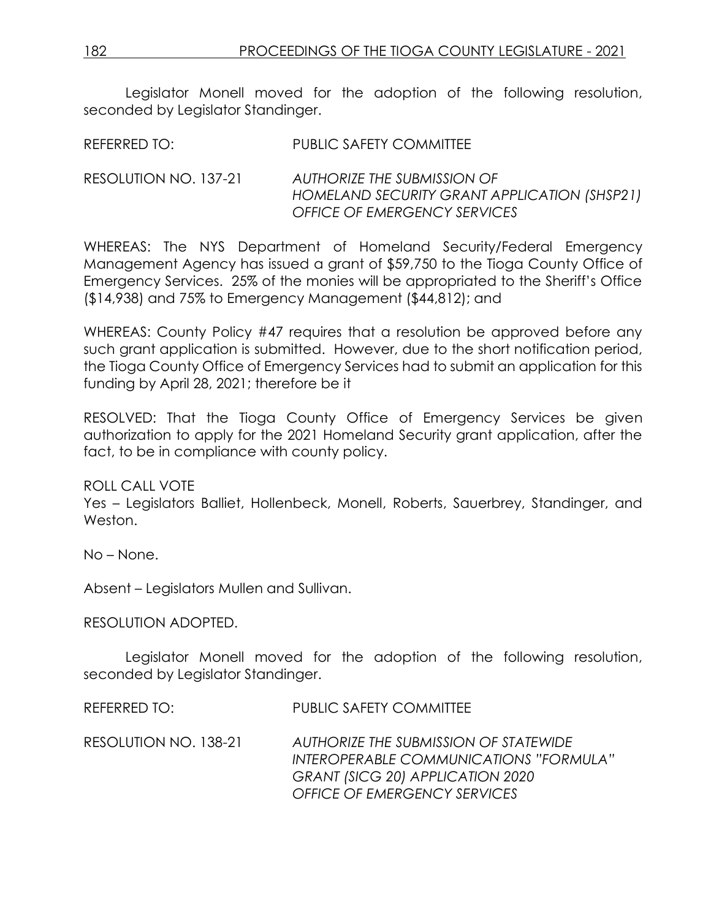Legislator Monell moved for the adoption of the following resolution, seconded by Legislator Standinger.

| REFERRED TO: | <b>PUBLIC SAFETY COMMITTEE</b> |
|--------------|--------------------------------|
|              |                                |

RESOLUTION NO. 137-21 *AUTHORIZE THE SUBMISSION OF HOMELAND SECURITY GRANT APPLICATION (SHSP21) OFFICE OF EMERGENCY SERVICES*

WHEREAS: The NYS Department of Homeland Security/Federal Emergency Management Agency has issued a grant of \$59,750 to the Tioga County Office of Emergency Services. 25% of the monies will be appropriated to the Sheriff's Office (\$14,938) and 75% to Emergency Management (\$44,812); and

WHEREAS: County Policy #47 requires that a resolution be approved before any such grant application is submitted. However, due to the short notification period, the Tioga County Office of Emergency Services had to submit an application for this funding by April 28, 2021; therefore be it

RESOLVED: That the Tioga County Office of Emergency Services be given authorization to apply for the 2021 Homeland Security grant application, after the fact, to be in compliance with county policy.

ROLL CALL VOTE

Yes – Legislators Balliet, Hollenbeck, Monell, Roberts, Sauerbrey, Standinger, and Weston.

No – None.

Absent – Legislators Mullen and Sullivan.

RESOLUTION ADOPTED.

Legislator Monell moved for the adoption of the following resolution, seconded by Legislator Standinger.

REFERRED TO: PUBLIC SAFETY COMMITTEE

RESOLUTION NO. 138-21 *AUTHORIZE THE SUBMISSION OF STATEWIDE INTEROPERABLE COMMUNICATIONS "FORMULA" GRANT (SICG 20) APPLICATION 2020 OFFICE OF EMERGENCY SERVICES*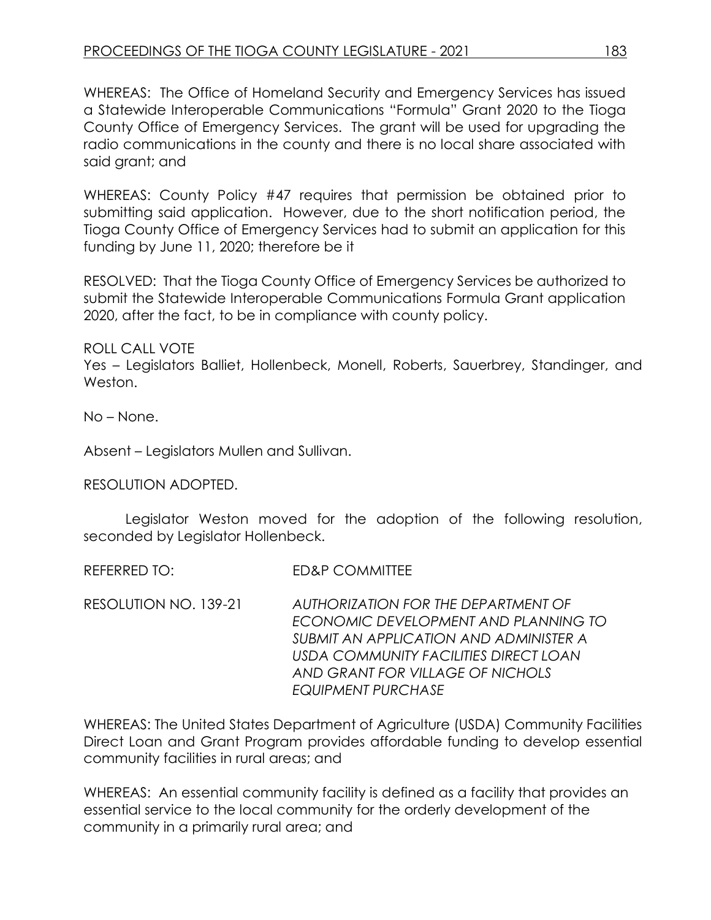WHEREAS: The Office of Homeland Security and Emergency Services has issued a Statewide Interoperable Communications "Formula" Grant 2020 to the Tioga County Office of Emergency Services. The grant will be used for upgrading the radio communications in the county and there is no local share associated with said grant; and

WHEREAS: County Policy #47 requires that permission be obtained prior to submitting said application. However, due to the short notification period, the Tioga County Office of Emergency Services had to submit an application for this funding by June 11, 2020; therefore be it

RESOLVED: That the Tioga County Office of Emergency Services be authorized to submit the Statewide Interoperable Communications Formula Grant application 2020, after the fact, to be in compliance with county policy.

ROLL CALL VOTE

Yes – Legislators Balliet, Hollenbeck, Monell, Roberts, Sauerbrey, Standinger, and Weston.

No – None.

Absent – Legislators Mullen and Sullivan.

RESOLUTION ADOPTED.

Legislator Weston moved for the adoption of the following resolution, seconded by Legislator Hollenbeck.

REFERRED TO: ED&P COMMITTEE

RESOLUTION NO. 139-21 *AUTHORIZATION FOR THE DEPARTMENT OF ECONOMIC DEVELOPMENT AND PLANNING TO SUBMIT AN APPLICATION AND ADMINISTER A USDA COMMUNITY FACILITIES DIRECT LOAN AND GRANT FOR VILLAGE OF NICHOLS EQUIPMENT PURCHASE*

WHEREAS: The United States Department of Agriculture (USDA) Community Facilities Direct Loan and Grant Program provides affordable funding to develop essential community facilities in rural areas; and

WHEREAS: An essential community facility is defined as a facility that provides an essential service to the local community for the orderly development of the community in a primarily rural area; and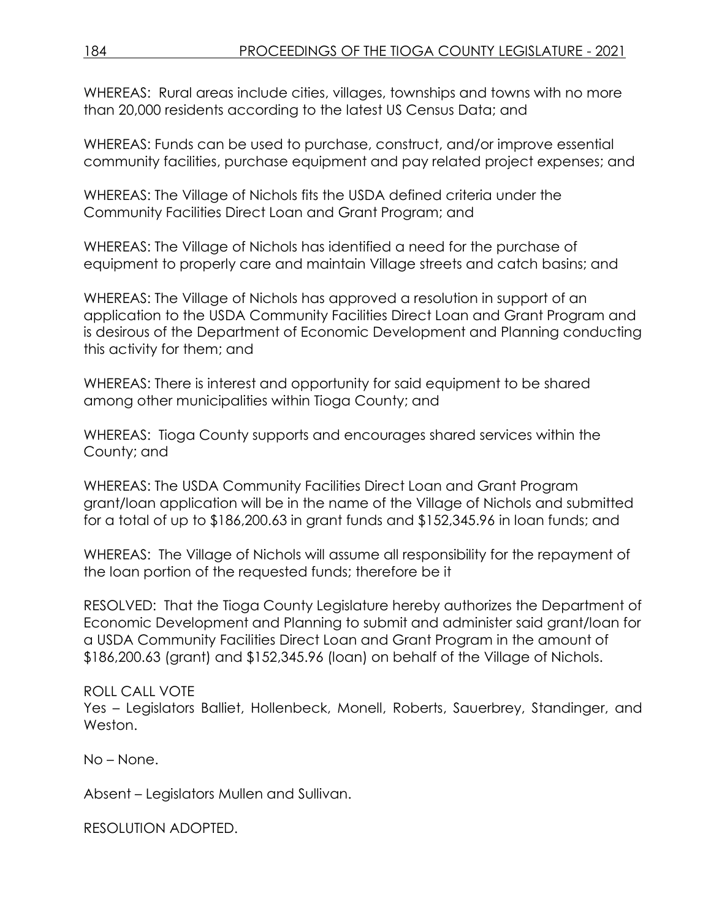WHEREAS: Rural areas include cities, villages, townships and towns with no more than 20,000 residents according to the latest US Census Data; and

WHEREAS: Funds can be used to purchase, construct, and/or improve essential community facilities, purchase equipment and pay related project expenses; and

WHEREAS: The Village of Nichols fits the USDA defined criteria under the Community Facilities Direct Loan and Grant Program; and

WHEREAS: The Village of Nichols has identified a need for the purchase of equipment to properly care and maintain Village streets and catch basins; and

WHEREAS: The Village of Nichols has approved a resolution in support of an application to the USDA Community Facilities Direct Loan and Grant Program and is desirous of the Department of Economic Development and Planning conducting this activity for them; and

WHEREAS: There is interest and opportunity for said equipment to be shared among other municipalities within Tioga County; and

WHEREAS: Tioga County supports and encourages shared services within the County; and

WHEREAS: The USDA Community Facilities Direct Loan and Grant Program grant/loan application will be in the name of the Village of Nichols and submitted for a total of up to \$186,200.63 in grant funds and \$152,345.96 in loan funds; and

WHEREAS: The Village of Nichols will assume all responsibility for the repayment of the loan portion of the requested funds; therefore be it

RESOLVED: That the Tioga County Legislature hereby authorizes the Department of Economic Development and Planning to submit and administer said grant/loan for a USDA Community Facilities Direct Loan and Grant Program in the amount of \$186,200.63 (grant) and \$152,345.96 (loan) on behalf of the Village of Nichols.

ROLL CALL VOTE

Yes – Legislators Balliet, Hollenbeck, Monell, Roberts, Sauerbrey, Standinger, and Weston.

No – None.

Absent – Legislators Mullen and Sullivan.

RESOLUTION ADOPTED.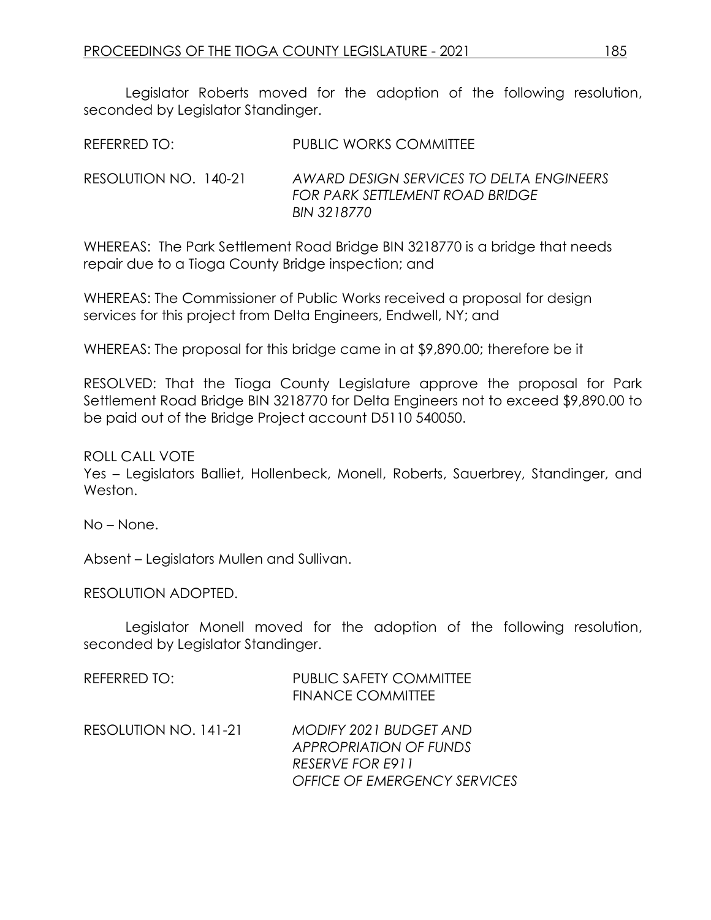Legislator Roberts moved for the adoption of the following resolution, seconded by Legislator Standinger.

REFERRED TO: PUBLIC WORKS COMMITTEE

RESOLUTION NO. 140-21 *AWARD DESIGN SERVICES TO DELTA ENGINEERS FOR PARK SETTLEMENT ROAD BRIDGE BIN 3218770*

WHEREAS: The Park Settlement Road Bridge BIN 3218770 is a bridge that needs repair due to a Tioga County Bridge inspection; and

WHEREAS: The Commissioner of Public Works received a proposal for design services for this project from Delta Engineers, Endwell, NY; and

WHEREAS: The proposal for this bridge came in at \$9,890.00; therefore be it

RESOLVED: That the Tioga County Legislature approve the proposal for Park Settlement Road Bridge BIN 3218770 for Delta Engineers not to exceed \$9,890.00 to be paid out of the Bridge Project account D5110 540050.

ROLL CALL VOTE

Yes – Legislators Balliet, Hollenbeck, Monell, Roberts, Sauerbrey, Standinger, and Weston.

No – None.

Absent – Legislators Mullen and Sullivan.

RESOLUTION ADOPTED.

Legislator Monell moved for the adoption of the following resolution, seconded by Legislator Standinger.

| REFERRED TO:          | <b>PUBLIC SAFETY COMMITTEE</b><br><b>FINANCE COMMITTEE</b>                                                                |
|-----------------------|---------------------------------------------------------------------------------------------------------------------------|
| RESOLUTION NO. 141-21 | <b>MODIFY 2021 BUDGET AND</b><br><b>APPROPRIATION OF FUNDS</b><br>RESERVE FOR E911<br><b>OFFICE OF EMERGENCY SERVICES</b> |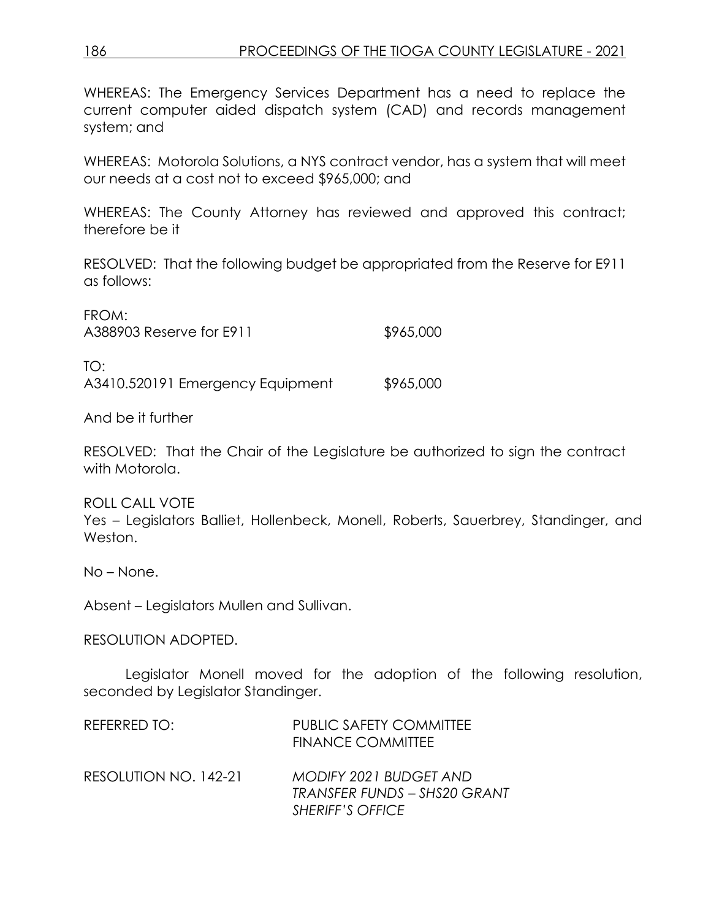WHEREAS: The Emergency Services Department has a need to replace the current computer aided dispatch system (CAD) and records management system; and

WHEREAS: Motorola Solutions, a NYS contract vendor, has a system that will meet our needs at a cost not to exceed \$965,000; and

WHEREAS: The County Attorney has reviewed and approved this contract; therefore be it

RESOLVED: That the following budget be appropriated from the Reserve for E911 as follows:

| FROM:<br>A388903 Reserve for E911       | \$965,000 |
|-----------------------------------------|-----------|
| TO:<br>A3410.520191 Emergency Equipment | \$965,000 |

And be it further

RESOLVED: That the Chair of the Legislature be authorized to sign the contract with Motorola.

ROLL CALL VOTE Yes – Legislators Balliet, Hollenbeck, Monell, Roberts, Sauerbrey, Standinger, and Weston.

No – None.

Absent – Legislators Mullen and Sullivan.

#### RESOLUTION ADOPTED.

Legislator Monell moved for the adoption of the following resolution, seconded by Legislator Standinger.

| <b>FINANCE COMMITTEE</b>                                                                 |
|------------------------------------------------------------------------------------------|
| <b>MODIFY 2021 BUDGET AND</b><br>TRANSFER FUNDS – SHS20 GRANT<br><b>SHERIFF'S OFFICE</b> |
|                                                                                          |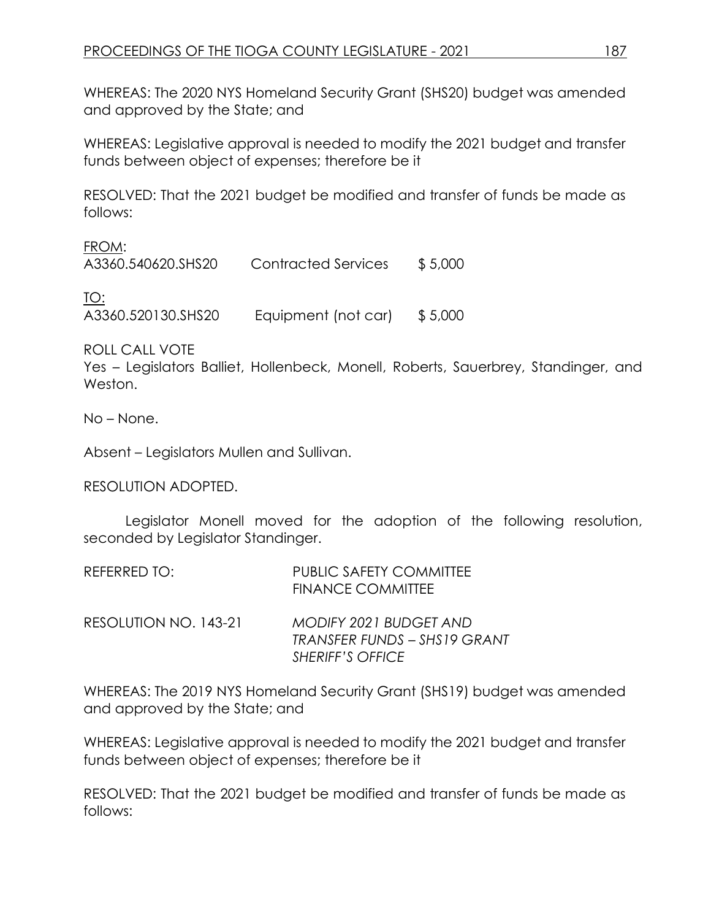WHEREAS: The 2020 NYS Homeland Security Grant (SHS20) budget was amended and approved by the State; and

WHEREAS: Legislative approval is needed to modify the 2021 budget and transfer funds between object of expenses; therefore be it

RESOLVED: That the 2021 budget be modified and transfer of funds be made as follows:

FROM:

A3360.540620.SHS20 Contracted Services \$ 5,000

TO: A3360.520130.SHS20 Equipment (not car) \$ 5,000

ROLL CALL VOTE

Yes – Legislators Balliet, Hollenbeck, Monell, Roberts, Sauerbrey, Standinger, and Weston.

No – None.

Absent – Legislators Mullen and Sullivan.

RESOLUTION ADOPTED.

Legislator Monell moved for the adoption of the following resolution, seconded by Legislator Standinger.

| REFERRED TO:          | <b>PUBLIC SAFETY COMMITTEE</b><br><b>FINANCE COMMITTEE</b>     |
|-----------------------|----------------------------------------------------------------|
| RESOLUTION NO. 143-21 | <b>MODIFY 2021 BUDGET AND</b><br>TRANSFER FUNDS – SHS 19 GRANT |
|                       | <b>SHERIFF'S OFFICE</b>                                        |

WHEREAS: The 2019 NYS Homeland Security Grant (SHS19) budget was amended and approved by the State; and

WHEREAS: Legislative approval is needed to modify the 2021 budget and transfer funds between object of expenses; therefore be it

RESOLVED: That the 2021 budget be modified and transfer of funds be made as follows: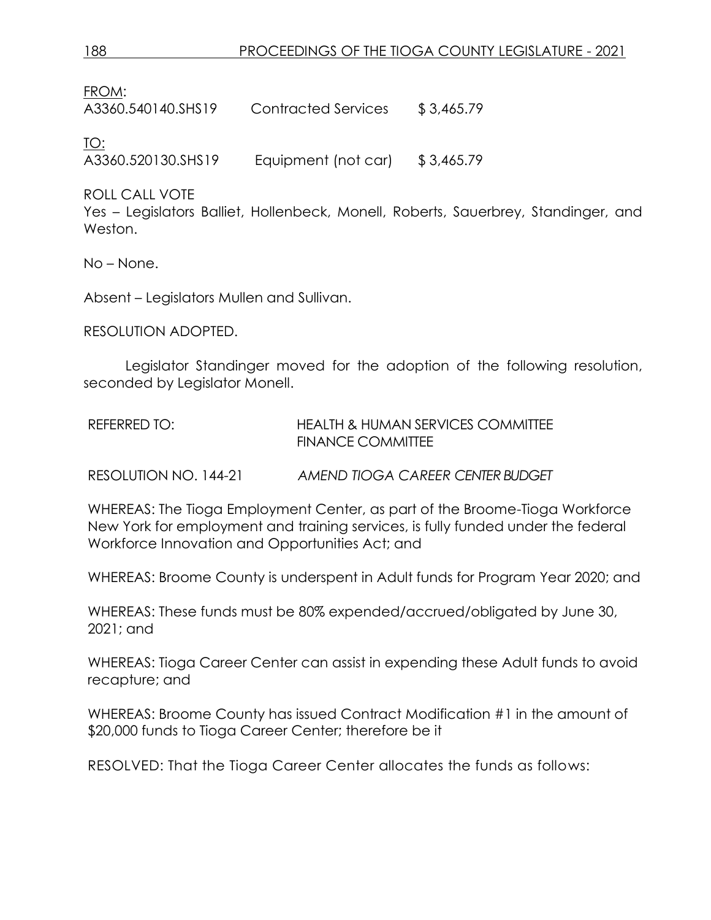FROM:

A3360.540140.SHS19 Contracted Services \$ 3,465.79

TO:

A3360.520130.SHS19 Equipment (not car) \$ 3,465.79

ROLL CALL VOTE

Yes – Legislators Balliet, Hollenbeck, Monell, Roberts, Sauerbrey, Standinger, and Weston.

No – None.

Absent – Legislators Mullen and Sullivan.

RESOLUTION ADOPTED.

Legislator Standinger moved for the adoption of the following resolution, seconded by Legislator Monell.

| REFERRED TO: | <b>HEALTH &amp; HUMAN SERVICES COMMITTEE</b> |
|--------------|----------------------------------------------|
|              | FINANCE COMMITTEE                            |
|              |                                              |

RESOLUTION NO. 144-21 *AMEND TIOGA CAREER CENTER BUDGET*

WHEREAS: The Tioga Employment Center, as part of the Broome-Tioga Workforce New York for employment and training services, is fully funded under the federal Workforce Innovation and Opportunities Act; and

WHEREAS: Broome County is underspent in Adult funds for Program Year 2020; and

WHEREAS: These funds must be 80% expended/accrued/obligated by June 30, 2021; and

WHEREAS: Tioga Career Center can assist in expending these Adult funds to avoid recapture; and

WHEREAS: Broome County has issued Contract Modification #1 in the amount of \$20,000 funds to Tioga Career Center; therefore be it

RESOLVED: That the Tioga Career Center allocates the funds as follows: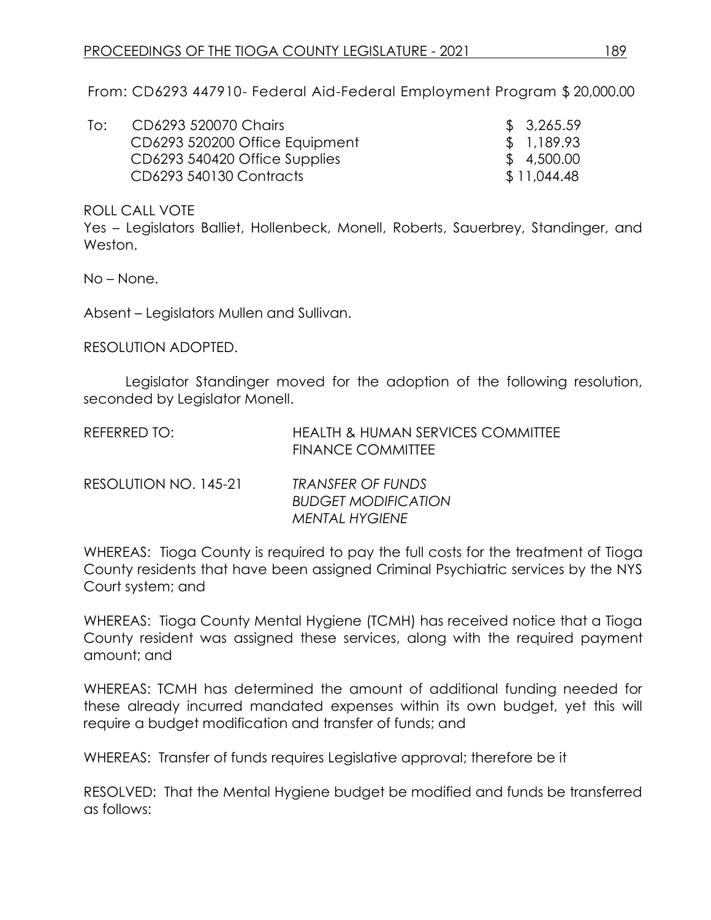From: CD6293 447910- Federal Aid-Federal Employment Program \$ 20,000.00

| lo: | CD6293 520070 Chairs           | \$3,265.59  |
|-----|--------------------------------|-------------|
|     | CD6293 520200 Office Equipment | \$1,189.93  |
|     | CD6293 540420 Office Supplies  | \$4,500.00  |
|     | CD6293 540130 Contracts        | \$11,044.48 |

ROLL CALL VOTE

Yes – Legislators Balliet, Hollenbeck, Monell, Roberts, Sauerbrey, Standinger, and Weston.

No – None.

Absent – Legislators Mullen and Sullivan.

RESOLUTION ADOPTED.

Legislator Standinger moved for the adoption of the following resolution, seconded by Legislator Monell.

| REFERRED TO: | <b>HEALTH &amp; HUMAN SERVICES COMMITTEE</b> |
|--------------|----------------------------------------------|
|              | <b>FINANCE COMMITTEE</b>                     |
|              |                                              |

| RESOLUTION NO. 145-21 | <b>TRANSFER OF FUNDS</b>   |
|-----------------------|----------------------------|
|                       | <b>BUDGET MODIFICATION</b> |
|                       | <b>MENTAL HYGIENE</b>      |

WHEREAS: Tioga County is required to pay the full costs for the treatment of Tioga County residents that have been assigned Criminal Psychiatric services by the NYS Court system; and

WHEREAS: Tioga County Mental Hygiene (TCMH) has received notice that a Tioga County resident was assigned these services, along with the required payment amount; and

WHEREAS: TCMH has determined the amount of additional funding needed for these already incurred mandated expenses within its own budget, yet this will require a budget modification and transfer of funds; and

WHEREAS: Transfer of funds requires Legislative approval; therefore be it

RESOLVED: That the Mental Hygiene budget be modified and funds be transferred as follows: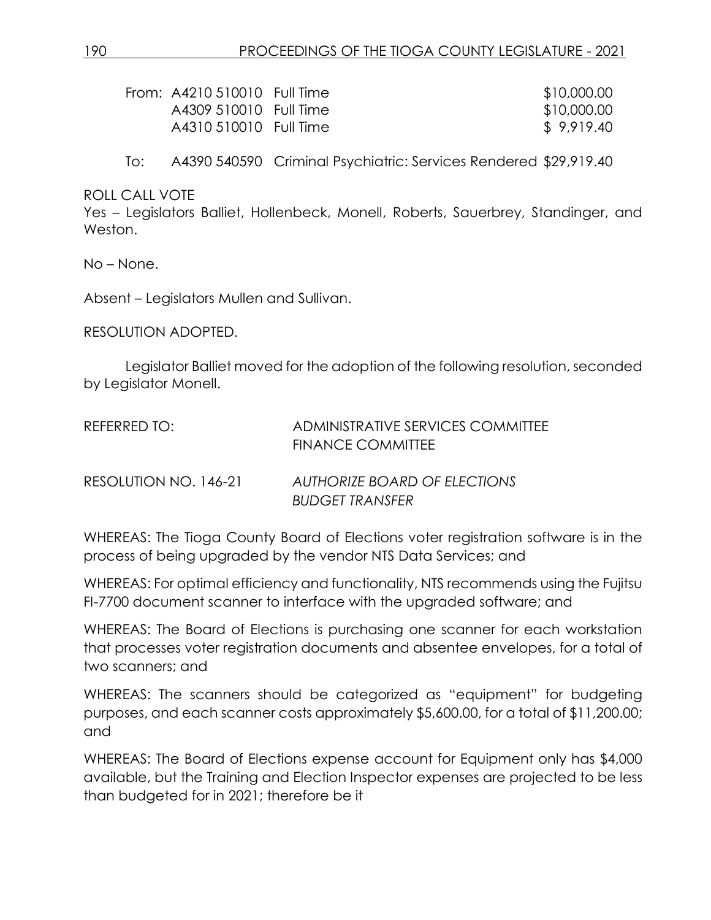| From: A4210 510010 Full Time | \$10,000.00 |
|------------------------------|-------------|
| A4309 510010 Full Time       | \$10,000.00 |
| A4310 510010 Full Time       | \$9,919,40  |

To: A4390 540590 Criminal Psychiatric: Services Rendered \$29,919.40

ROLL CALL VOTE

Yes – Legislators Balliet, Hollenbeck, Monell, Roberts, Sauerbrey, Standinger, and Weston.

No – None.

Absent – Legislators Mullen and Sullivan.

RESOLUTION ADOPTED.

Legislator Balliet moved for the adoption of the following resolution, seconded by Legislator Monell.

| REFERRED TO:          | ADMINISTRATIVE SERVICES COMMITTEE<br>FINANCE COMMITTEE |
|-----------------------|--------------------------------------------------------|
| RESOLUTION NO. 146-21 | AUTHORIZE BOARD OF ELECTIONS<br><b>BUDGET TRANSFER</b> |

WHEREAS: The Tioga County Board of Elections voter registration software is in the process of being upgraded by the vendor NTS Data Services; and

WHEREAS: For optimal efficiency and functionality, NTS recommends using the Fujitsu FI-7700 document scanner to interface with the upgraded software; and

WHEREAS: The Board of Elections is purchasing one scanner for each workstation that processes voter registration documents and absentee envelopes, for a total of two scanners; and

WHEREAS: The scanners should be categorized as "equipment" for budgeting purposes, and each scanner costs approximately \$5,600.00, for a total of \$11,200.00; and

WHEREAS: The Board of Elections expense account for Equipment only has \$4,000 available, but the Training and Election Inspector expenses are projected to be less than budgeted for in 2021; therefore be it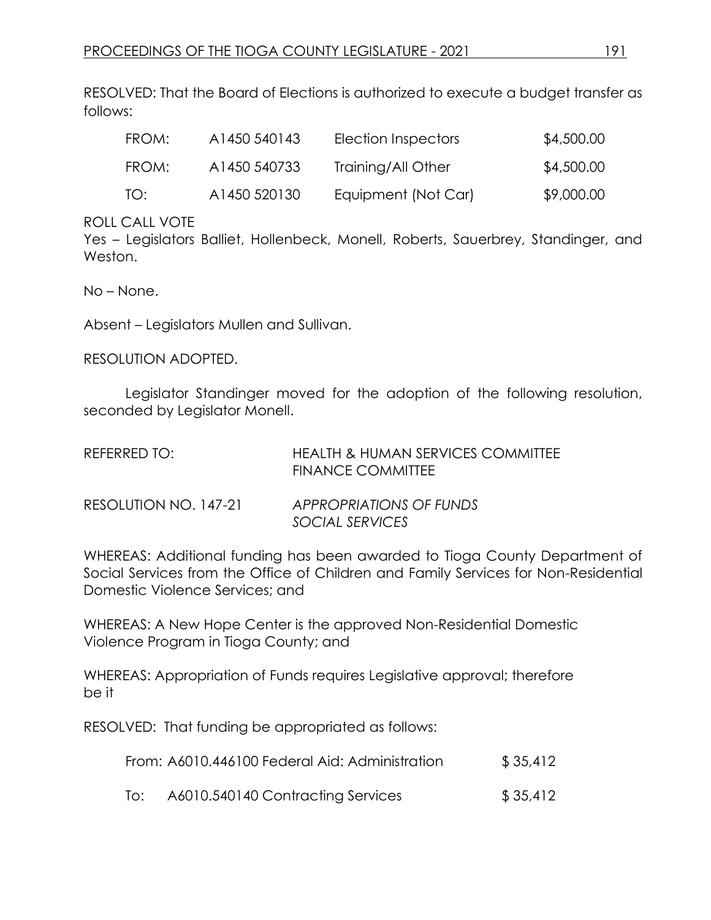RESOLVED: That the Board of Elections is authorized to execute a budget transfer as follows:

| FROM: | A1450 540143 | Election Inspectors | \$4,500.00 |
|-------|--------------|---------------------|------------|
| FROM: | A1450 540733 | Training/All Other  | \$4,500.00 |
| TO:   | A1450 520130 | Equipment (Not Car) | \$9,000.00 |

#### ROLL CALL VOTE

Yes – Legislators Balliet, Hollenbeck, Monell, Roberts, Sauerbrey, Standinger, and Weston.

No – None.

Absent – Legislators Mullen and Sullivan.

RESOLUTION ADOPTED.

Legislator Standinger moved for the adoption of the following resolution, seconded by Legislator Monell.

| REFERRED TO:          | <b>HEALTH &amp; HUMAN SERVICES COMMITTEE</b><br><b>FINANCE COMMITTEE</b> |
|-----------------------|--------------------------------------------------------------------------|
| RESOLUTION NO. 147-21 | APPROPRIATIONS OF FUNDS<br>SOCIAL SERVICES                               |

WHEREAS: Additional funding has been awarded to Tioga County Department of Social Services from the Office of Children and Family Services for Non-Residential Domestic Violence Services; and

WHEREAS: A New Hope Center is the approved Non-Residential Domestic Violence Program in Tioga County; and

WHEREAS: Appropriation of Funds requires Legislative approval; therefore be it

RESOLVED: That funding be appropriated as follows:

|     | From: A6010.446100 Federal Aid: Administration | \$35,412 |
|-----|------------------------------------------------|----------|
| To: | A6010.540140 Contracting Services              | \$35,412 |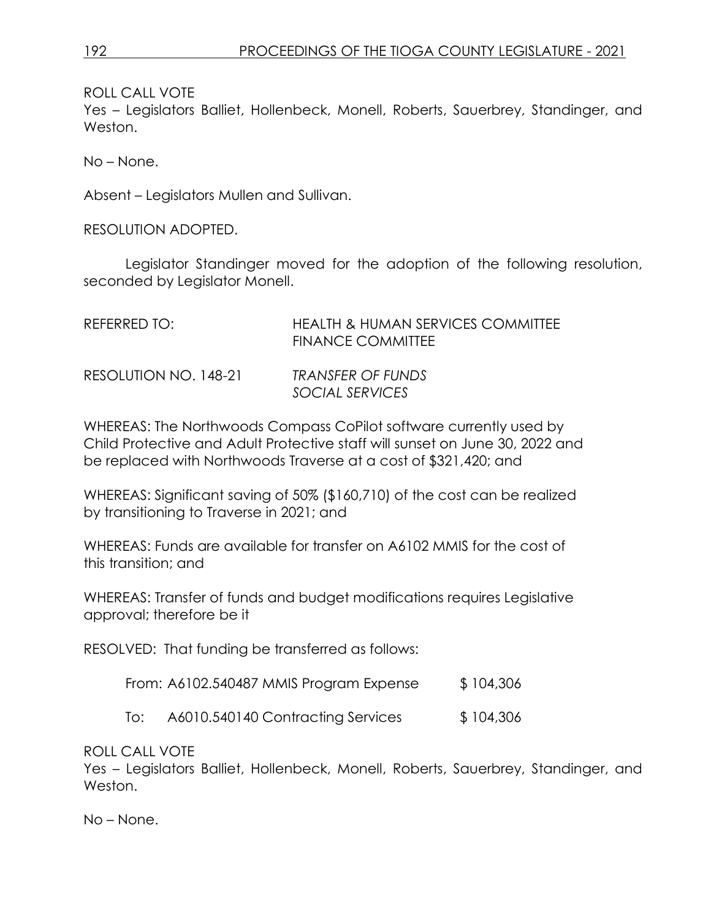ROLL CALL VOTE

Yes – Legislators Balliet, Hollenbeck, Monell, Roberts, Sauerbrey, Standinger, and Weston.

No – None.

Absent – Legislators Mullen and Sullivan.

RESOLUTION ADOPTED.

Legislator Standinger moved for the adoption of the following resolution, seconded by Legislator Monell.

| REFERRED TO:          | <b>HEALTH &amp; HUMAN SERVICES COMMITTEE</b><br><b>FINANCE COMMITTEE</b> |
|-----------------------|--------------------------------------------------------------------------|
| RESOLUTION NO. 148-21 | TRANSFER OF FUNDS<br>SOCIAL SERVICES                                     |

WHEREAS: The Northwoods Compass CoPilot software currently used by Child Protective and Adult Protective staff will sunset on June 30, 2022 and be replaced with Northwoods Traverse at a cost of \$321,420; and

WHEREAS: Significant saving of 50% (\$160,710) of the cost can be realized by transitioning to Traverse in 2021; and

WHEREAS: Funds are available for transfer on A6102 MMIS for the cost of this transition; and

WHEREAS: Transfer of funds and budget modifications requires Legislative approval; therefore be it

RESOLVED: That funding be transferred as follows:

| From: A6102.540487 MMIS Program Expense | \$104,306 |
|-----------------------------------------|-----------|
|-----------------------------------------|-----------|

To: A6010.540140 Contracting Services \$ 104,306

ROLL CALL VOTE

Yes – Legislators Balliet, Hollenbeck, Monell, Roberts, Sauerbrey, Standinger, and Weston.

No – None.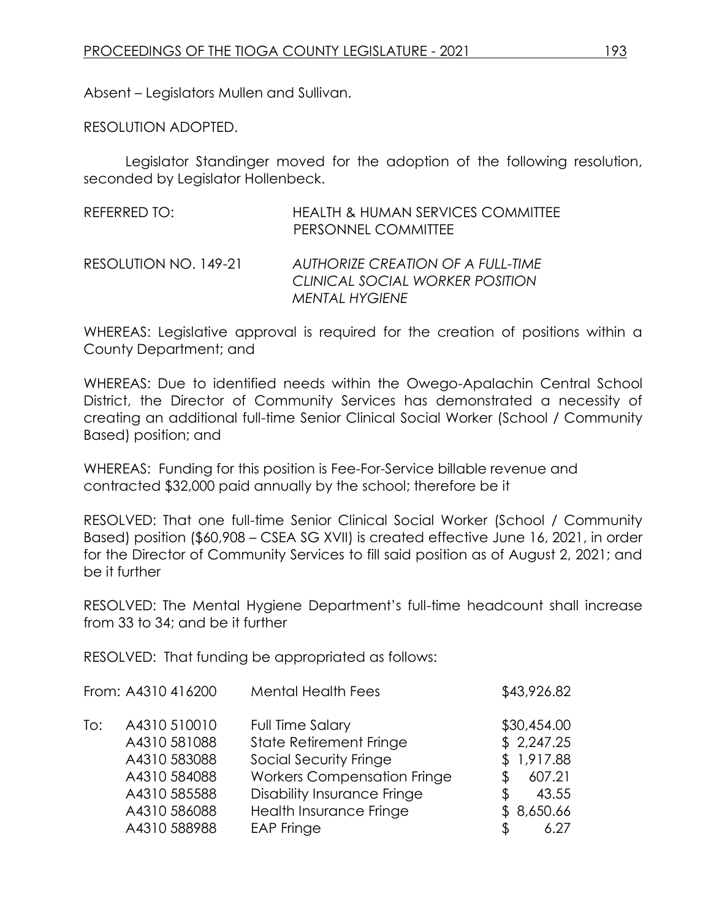Absent – Legislators Mullen and Sullivan.

RESOLUTION ADOPTED.

Legislator Standinger moved for the adoption of the following resolution, seconded by Legislator Hollenbeck.

| REFERRED TO:          | <b>HEALTH &amp; HUMAN SERVICES COMMITTEE</b><br>PERSONNEL COMMITTEE                           |
|-----------------------|-----------------------------------------------------------------------------------------------|
| RESOLUTION NO. 149-21 | AUTHORIZE CREATION OF A FULL-TIME<br>CLINICAL SOCIAL WORKER POSITION<br><b>MENTAL HYGIENE</b> |

WHEREAS: Legislative approval is required for the creation of positions within a County Department; and

WHEREAS: Due to identified needs within the Owego-Apalachin Central School District, the Director of Community Services has demonstrated a necessity of creating an additional full-time Senior Clinical Social Worker (School / Community Based) position; and

WHEREAS: Funding for this position is Fee-For-Service billable revenue and contracted \$32,000 paid annually by the school; therefore be it

RESOLVED: That one full-time Senior Clinical Social Worker (School / Community Based) position (\$60,908 – CSEA SG XVII) is created effective June 16, 2021, in order for the Director of Community Services to fill said position as of August 2, 2021; and be it further

RESOLVED: The Mental Hygiene Department's full-time headcount shall increase from 33 to 34; and be it further

RESOLVED: That funding be appropriated as follows:

|     | From: A4310 416200 | <b>Mental Health Fees</b>          | \$43,926.82 |
|-----|--------------------|------------------------------------|-------------|
| To: | A4310 510010       | Full Time Salary                   | \$30,454.00 |
|     | A4310 581088       | <b>State Retirement Fringe</b>     | \$2,247.25  |
|     | A4310 583088       | Social Security Fringe             | \$1,917.88  |
|     | A4310 584088       | <b>Workers Compensation Fringe</b> | 607.21      |
|     | A4310 585588       | <b>Disability Insurance Fringe</b> | 43.55<br>\$ |
|     | A4310 586088       | Health Insurance Fringe            | \$8,650.66  |
|     | A4310 588988       | <b>EAP Fringe</b>                  | 6.27        |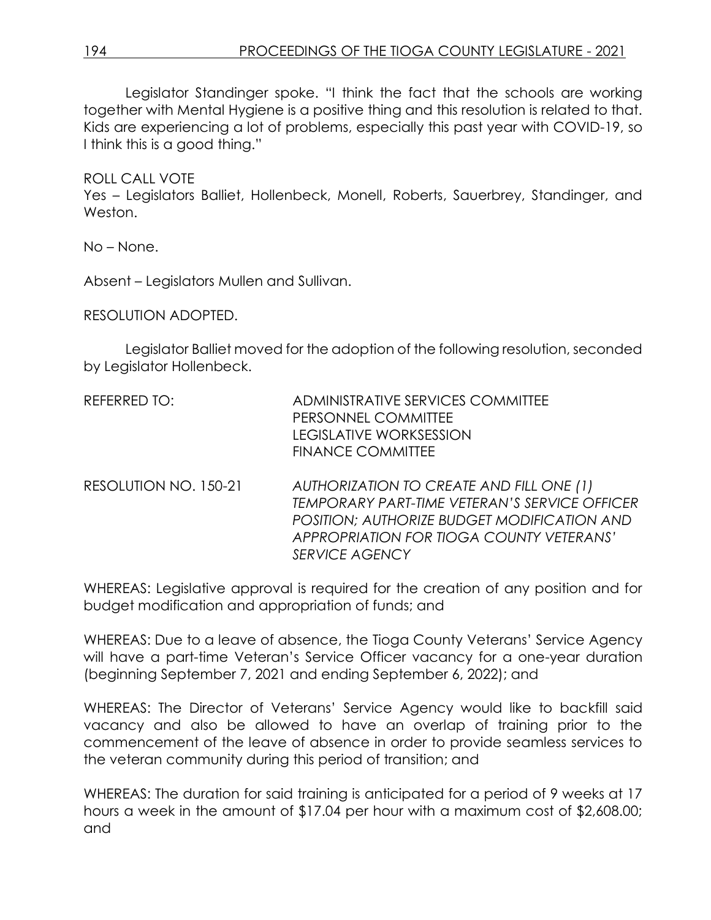Legislator Standinger spoke. "I think the fact that the schools are working together with Mental Hygiene is a positive thing and this resolution is related to that. Kids are experiencing a lot of problems, especially this past year with COVID-19, so I think this is a good thing."

#### ROLL CALL VOTE

Yes – Legislators Balliet, Hollenbeck, Monell, Roberts, Sauerbrey, Standinger, and Weston.

No – None.

Absent – Legislators Mullen and Sullivan.

RESOLUTION ADOPTED.

Legislator Balliet moved for the adoption of the following resolution, seconded by Legislator Hollenbeck.

| REFERRED TO: | ADMINISTRATIVE SERVICES COMMITTEE |
|--------------|-----------------------------------|
|              | PERSONNEL COMMITTEE               |
|              | LEGISLATIVE WORKSESSION           |
|              | <b>FINANCE COMMITTEE</b>          |
|              |                                   |

RESOLUTION NO. 150-21 *AUTHORIZATION TO CREATE AND FILL ONE (1) TEMPORARY PART-TIME VETERAN'S SERVICE OFFICER POSITION; AUTHORIZE BUDGET MODIFICATION AND APPROPRIATION FOR TIOGA COUNTY VETERANS' SERVICE AGENCY*

WHEREAS: Legislative approval is required for the creation of any position and for budget modification and appropriation of funds; and

WHEREAS: Due to a leave of absence, the Tioga County Veterans' Service Agency will have a part-time Veteran's Service Officer vacancy for a one-year duration (beginning September 7, 2021 and ending September 6, 2022); and

WHEREAS: The Director of Veterans' Service Agency would like to backfill said vacancy and also be allowed to have an overlap of training prior to the commencement of the leave of absence in order to provide seamless services to the veteran community during this period of transition; and

WHEREAS: The duration for said training is anticipated for a period of 9 weeks at 17 hours a week in the amount of \$17.04 per hour with a maximum cost of \$2,608.00; and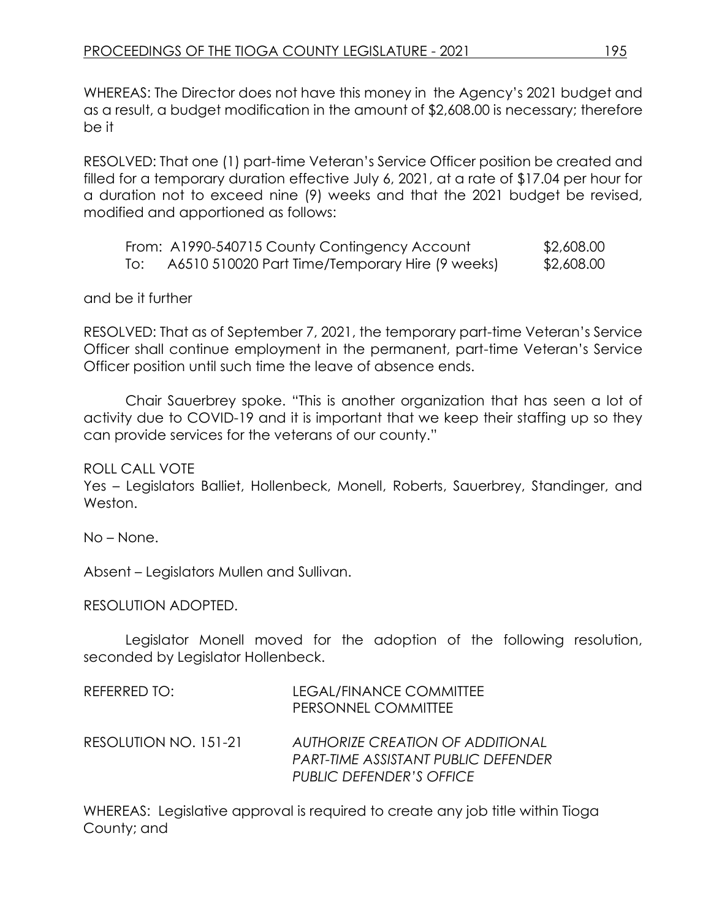WHEREAS: The Director does not have this money in the Agency's 2021 budget and as a result, a budget modification in the amount of \$2,608.00 is necessary; therefore be it

RESOLVED: That one (1) part-time Veteran's Service Officer position be created and filled for a temporary duration effective July 6, 2021, at a rate of \$17.04 per hour for a duration not to exceed nine (9) weeks and that the 2021 budget be revised, modified and apportioned as follows:

|     | From: A1990-540715 County Contingency Account   | \$2,608.00 |
|-----|-------------------------------------------------|------------|
| To: | A6510 510020 Part Time/Temporary Hire (9 weeks) | \$2,608.00 |

and be it further

RESOLVED: That as of September 7, 2021, the temporary part-time Veteran's Service Officer shall continue employment in the permanent, part-time Veteran's Service Officer position until such time the leave of absence ends.

Chair Sauerbrey spoke. "This is another organization that has seen a lot of activity due to COVID-19 and it is important that we keep their staffing up so they can provide services for the veterans of our county."

ROLL CALL VOTE

Yes – Legislators Balliet, Hollenbeck, Monell, Roberts, Sauerbrey, Standinger, and Weston.

No – None.

Absent – Legislators Mullen and Sullivan.

RESOLUTION ADOPTED.

Legislator Monell moved for the adoption of the following resolution, seconded by Legislator Hollenbeck.

| REFERRED TO:          | LEGAL/FINANCE COMMITTEE<br>PERSONNEL COMMITTEE                                 |
|-----------------------|--------------------------------------------------------------------------------|
| RESOLUTION NO. 151-21 | <b>AUTHORIZE CREATION OF ADDITIONAL</b><br>PART-TIME ASSISTANT PUBLIC DEFENDER |
|                       | <b>PUBLIC DEFENDER'S OFFICE</b>                                                |

WHEREAS: Legislative approval is required to create any job title within Tioga County; and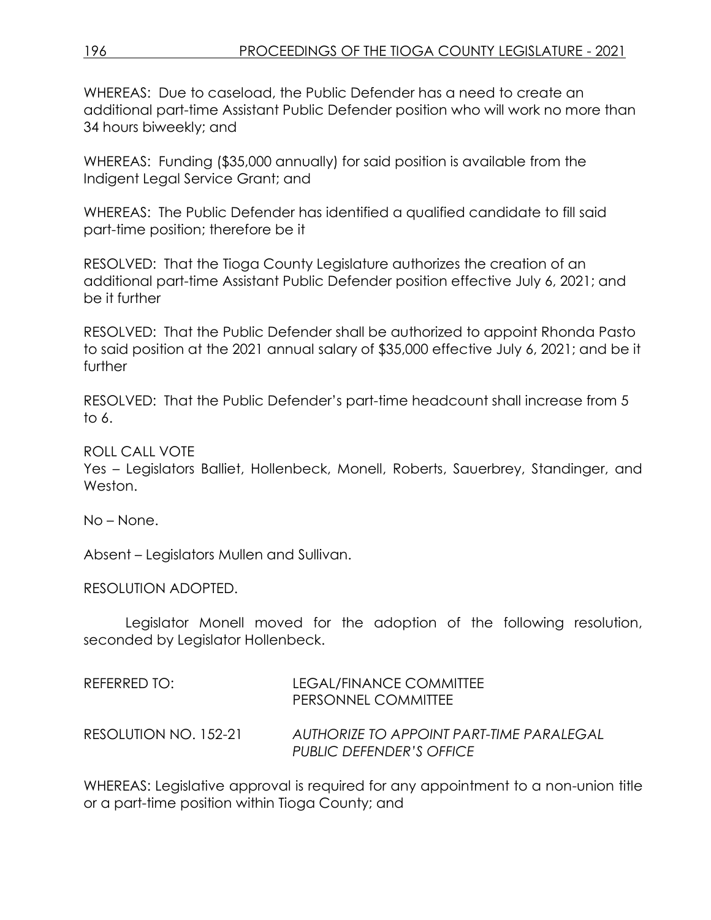WHEREAS: Due to caseload, the Public Defender has a need to create an additional part-time Assistant Public Defender position who will work no more than 34 hours biweekly; and

WHEREAS: Funding (\$35,000 annually) for said position is available from the Indigent Legal Service Grant; and

WHEREAS: The Public Defender has identified a qualified candidate to fill said part-time position; therefore be it

RESOLVED: That the Tioga County Legislature authorizes the creation of an additional part-time Assistant Public Defender position effective July 6, 2021; and be it further

RESOLVED: That the Public Defender shall be authorized to appoint Rhonda Pasto to said position at the 2021 annual salary of \$35,000 effective July 6, 2021; and be it further

RESOLVED: That the Public Defender's part-time headcount shall increase from 5 to 6.

### ROLL CALL VOTE

Yes – Legislators Balliet, Hollenbeck, Monell, Roberts, Sauerbrey, Standinger, and Weston.

No – None.

Absent – Legislators Mullen and Sullivan.

RESOLUTION ADOPTED.

Legislator Monell moved for the adoption of the following resolution, seconded by Legislator Hollenbeck.

| REFERRED TO: I        | LEGAL/FINANCE COMMITTEE<br>PERSONNEL COMMITTEE                       |
|-----------------------|----------------------------------------------------------------------|
| RESOLUTION NO. 152-21 | AUTHORIZE TO APPOINT PART-TIME PARALEGAL<br>PUBLIC DEFENDER'S OFFICE |

WHEREAS: Legislative approval is required for any appointment to a non-union title or a part-time position within Tioga County; and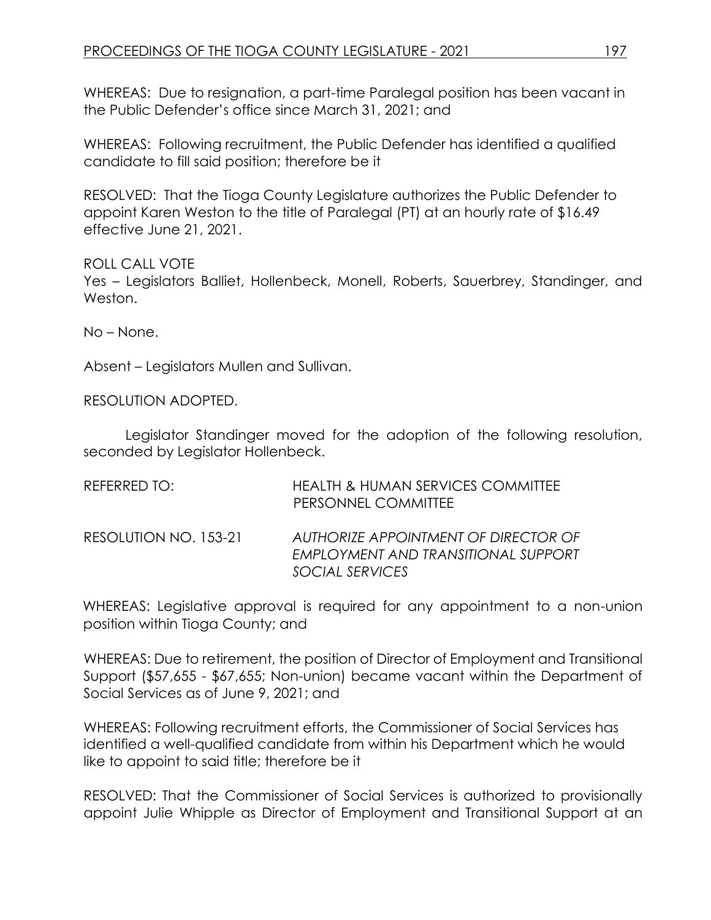WHEREAS: Due to resignation, a part-time Paralegal position has been vacant in the Public Defender's office since March 31, 2021; and

WHEREAS: Following recruitment, the Public Defender has identified a qualified candidate to fill said position; therefore be it

RESOLVED: That the Tioga County Legislature authorizes the Public Defender to appoint Karen Weston to the title of Paralegal (PT) at an hourly rate of \$16.49 effective June 21, 2021.

ROLL CALL VOTE Yes – Legislators Balliet, Hollenbeck, Monell, Roberts, Sauerbrey, Standinger, and Weston.

No – None.

Absent – Legislators Mullen and Sullivan.

RESOLUTION ADOPTED.

Legislator Standinger moved for the adoption of the following resolution, seconded by Legislator Hollenbeck.

| REFERRED TO: I        | <b>HEALTH &amp; HUMAN SERVICES COMMITTEE</b><br>PERSONNEL COMMITTEE                            |
|-----------------------|------------------------------------------------------------------------------------------------|
| RESOLUTION NO. 153-21 | AUTHORIZE APPOINTMENT OF DIRECTOR OF<br>EMPLOYMENT AND TRANSITIONAL SUPPORT<br>SOCIAL SERVICES |

WHEREAS: Legislative approval is required for any appointment to a non-union position within Tioga County; and

WHEREAS: Due to retirement, the position of Director of Employment and Transitional Support (\$57,655 - \$67,655; Non-union) became vacant within the Department of Social Services as of June 9, 2021; and

WHEREAS: Following recruitment efforts, the Commissioner of Social Services has identified a well-qualified candidate from within his Department which he would like to appoint to said title; therefore be it

RESOLVED: That the Commissioner of Social Services is authorized to provisionally appoint Julie Whipple as Director of Employment and Transitional Support at an